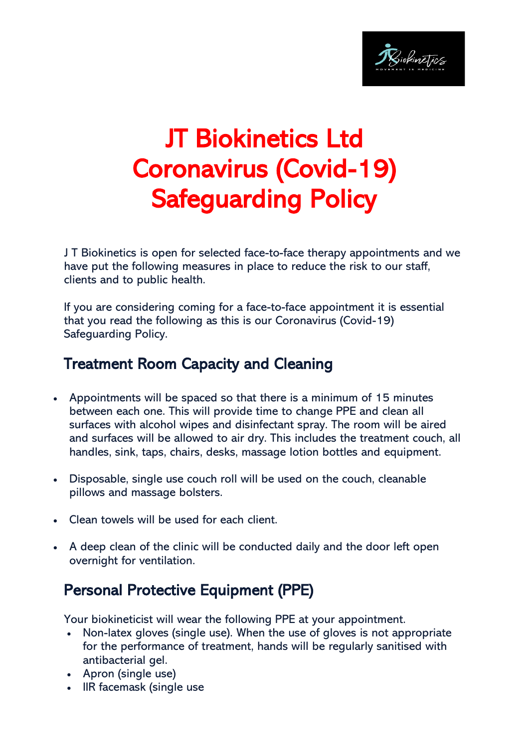

## JT Biokinetics Ltd Coronavirus (Covid-19) Safeguarding Policy

J T Biokinetics is open for selected face-to-face therapy appointments and we have put the following measures in place to reduce the risk to our staff, clients and to public health.

If you are considering coming for a face-to-face appointment it is essential that you read the following as this is our Coronavirus (Covid-19) Safeguarding Policy.

## Treatment Room Capacity and Cleaning

- Appointments will be spaced so that there is a minimum of 15 minutes between each one. This will provide time to change PPE and clean all surfaces with alcohol wipes and disinfectant spray. The room will be aired and surfaces will be allowed to air dry. This includes the treatment couch, all handles, sink, taps, chairs, desks, massage lotion bottles and equipment.
- Disposable, single use couch roll will be used on the couch, cleanable pillows and massage bolsters.
- Clean towels will be used for each client.
- A deep clean of the clinic will be conducted daily and the door left open overnight for ventilation.

## Personal Protective Equipment (PPE)

Your biokineticist will wear the following PPE at your appointment.

- Non-latex gloves (single use). When the use of gloves is not appropriate for the performance of treatment, hands will be regularly sanitised with antibacterial gel.
- Apron (single use)
- IIR facemask (single use